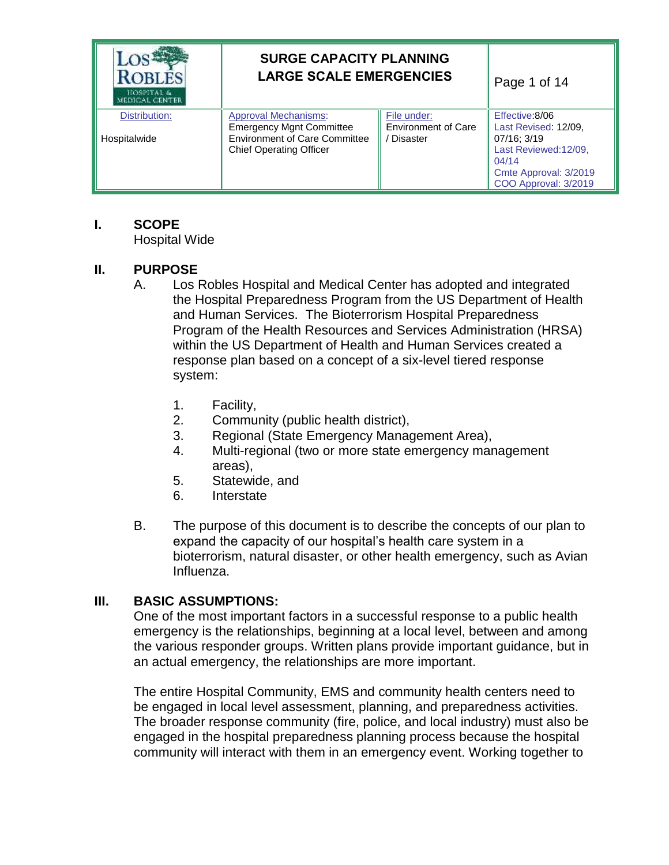| <b>ROBLES</b><br>HOSPITAL &<br>(EDICAL CENTER) | <b>SURGE CAPACITY PLANNING</b><br><b>LARGE SCALE EMERGENCIES</b>                                                                         | Page 1 of 14                                                 |                                                                                                                                          |
|------------------------------------------------|------------------------------------------------------------------------------------------------------------------------------------------|--------------------------------------------------------------|------------------------------------------------------------------------------------------------------------------------------------------|
| Distribution:<br>Hospitalwide                  | <b>Approval Mechanisms:</b><br><b>Emergency Mgnt Committee</b><br><b>Environment of Care Committee</b><br><b>Chief Operating Officer</b> | File under:<br><b>Environment of Care</b><br><b>Disaster</b> | Effective: 8/06<br>Last Revised: 12/09,<br>07/16: 3/19<br>Last Reviewed:12/09,<br>04/14<br>Cmte Approval: 3/2019<br>COO Approval: 3/2019 |

## **I. SCOPE**

Hospital Wide

## **II. PURPOSE**

- A. Los Robles Hospital and Medical Center has adopted and integrated the Hospital Preparedness Program from the US Department of Health and Human Services. The Bioterrorism Hospital Preparedness Program of the Health Resources and Services Administration (HRSA) within the US Department of Health and Human Services created a response plan based on a concept of a six-level tiered response system:
	- 1. Facility,
	- 2. Community (public health district),
	- 3. Regional (State Emergency Management Area),
	- 4. Multi-regional (two or more state emergency management areas),
	- 5. Statewide, and
	- 6. Interstate
- B. The purpose of this document is to describe the concepts of our plan to expand the capacity of our hospital's health care system in a bioterrorism, natural disaster, or other health emergency, such as Avian Influenza.

## **III. BASIC ASSUMPTIONS:**

One of the most important factors in a successful response to a public health emergency is the relationships, beginning at a local level, between and among the various responder groups. Written plans provide important guidance, but in an actual emergency, the relationships are more important.

The entire Hospital Community, EMS and community health centers need to be engaged in local level assessment, planning, and preparedness activities. The broader response community (fire, police, and local industry) must also be engaged in the hospital preparedness planning process because the hospital community will interact with them in an emergency event. Working together to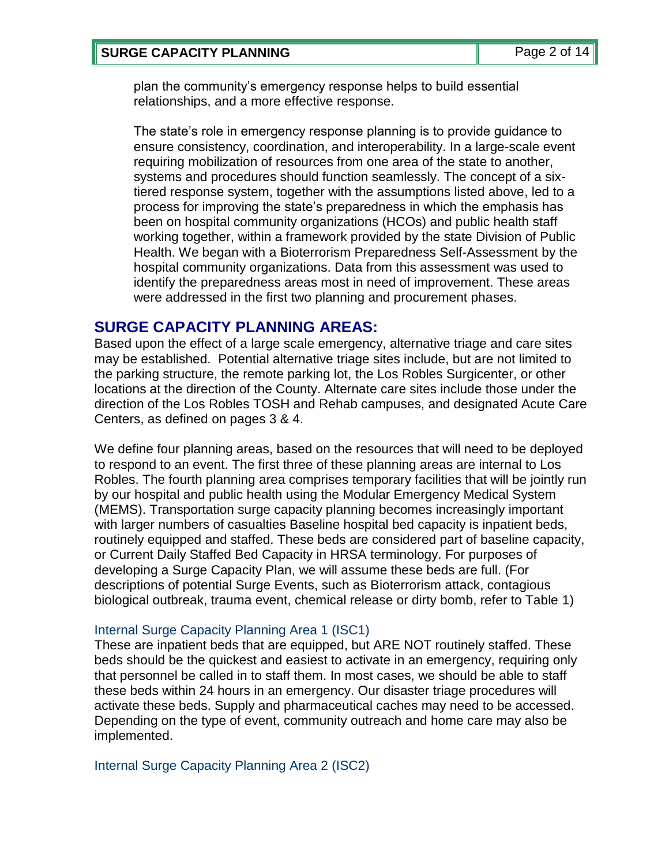plan the community's emergency response helps to build essential relationships, and a more effective response.

The state's role in emergency response planning is to provide guidance to ensure consistency, coordination, and interoperability. In a large-scale event requiring mobilization of resources from one area of the state to another, systems and procedures should function seamlessly. The concept of a sixtiered response system, together with the assumptions listed above, led to a process for improving the state's preparedness in which the emphasis has been on hospital community organizations (HCOs) and public health staff working together, within a framework provided by the state Division of Public Health. We began with a Bioterrorism Preparedness Self-Assessment by the hospital community organizations. Data from this assessment was used to identify the preparedness areas most in need of improvement. These areas were addressed in the first two planning and procurement phases.

## **SURGE CAPACITY PLANNING AREAS:**

Based upon the effect of a large scale emergency, alternative triage and care sites may be established. Potential alternative triage sites include, but are not limited to the parking structure, the remote parking lot, the Los Robles Surgicenter, or other locations at the direction of the County. Alternate care sites include those under the direction of the Los Robles TOSH and Rehab campuses, and designated Acute Care Centers, as defined on pages 3 & 4.

We define four planning areas, based on the resources that will need to be deployed to respond to an event. The first three of these planning areas are internal to Los Robles. The fourth planning area comprises temporary facilities that will be jointly run by our hospital and public health using the Modular Emergency Medical System (MEMS). Transportation surge capacity planning becomes increasingly important with larger numbers of casualties Baseline hospital bed capacity is inpatient beds, routinely equipped and staffed. These beds are considered part of baseline capacity, or Current Daily Staffed Bed Capacity in HRSA terminology. For purposes of developing a Surge Capacity Plan, we will assume these beds are full. (For descriptions of potential Surge Events, such as Bioterrorism attack, contagious biological outbreak, trauma event, chemical release or dirty bomb, refer to Table 1)

## Internal Surge Capacity Planning Area 1 (ISC1)

These are inpatient beds that are equipped, but ARE NOT routinely staffed. These beds should be the quickest and easiest to activate in an emergency, requiring only that personnel be called in to staff them. In most cases, we should be able to staff these beds within 24 hours in an emergency. Our disaster triage procedures will activate these beds. Supply and pharmaceutical caches may need to be accessed. Depending on the type of event, community outreach and home care may also be implemented.

Internal Surge Capacity Planning Area 2 (ISC2)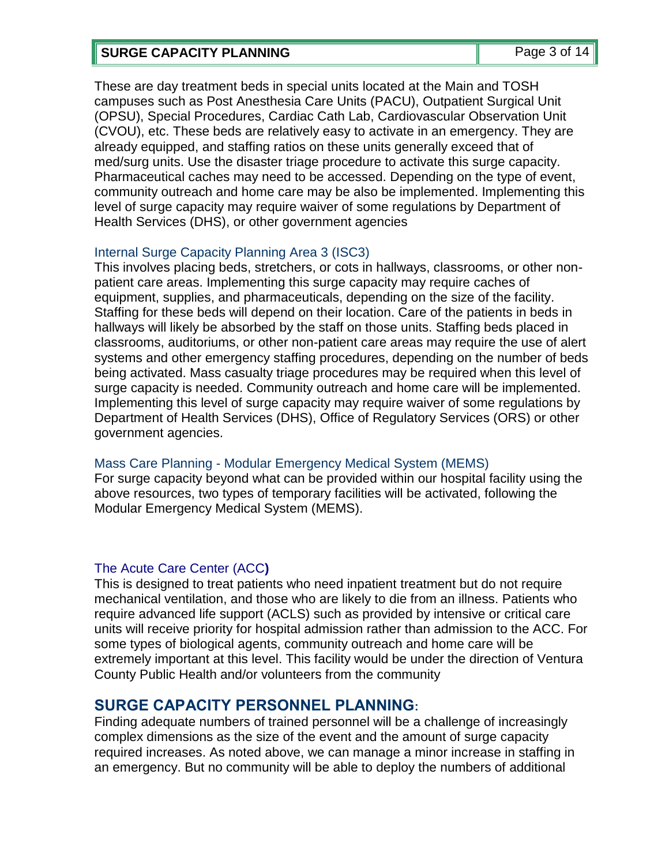## **SURGE CAPACITY PLANNING** Page 3 of 14

These are day treatment beds in special units located at the Main and TOSH campuses such as Post Anesthesia Care Units (PACU), Outpatient Surgical Unit (OPSU), Special Procedures, Cardiac Cath Lab, Cardiovascular Observation Unit (CVOU), etc. These beds are relatively easy to activate in an emergency. They are already equipped, and staffing ratios on these units generally exceed that of med/surg units. Use the disaster triage procedure to activate this surge capacity. Pharmaceutical caches may need to be accessed. Depending on the type of event, community outreach and home care may be also be implemented. Implementing this level of surge capacity may require waiver of some regulations by Department of Health Services (DHS), or other government agencies

## Internal Surge Capacity Planning Area 3 (ISC3)

This involves placing beds, stretchers, or cots in hallways, classrooms, or other nonpatient care areas. Implementing this surge capacity may require caches of equipment, supplies, and pharmaceuticals, depending on the size of the facility. Staffing for these beds will depend on their location. Care of the patients in beds in hallways will likely be absorbed by the staff on those units. Staffing beds placed in classrooms, auditoriums, or other non-patient care areas may require the use of alert systems and other emergency staffing procedures, depending on the number of beds being activated. Mass casualty triage procedures may be required when this level of surge capacity is needed. Community outreach and home care will be implemented. Implementing this level of surge capacity may require waiver of some regulations by Department of Health Services (DHS), Office of Regulatory Services (ORS) or other government agencies.

## Mass Care Planning - Modular Emergency Medical System (MEMS)

For surge capacity beyond what can be provided within our hospital facility using the above resources, two types of temporary facilities will be activated, following the Modular Emergency Medical System (MEMS).

## The Acute Care Center (ACC**)**

This is designed to treat patients who need inpatient treatment but do not require mechanical ventilation, and those who are likely to die from an illness. Patients who require advanced life support (ACLS) such as provided by intensive or critical care units will receive priority for hospital admission rather than admission to the ACC. For some types of biological agents, community outreach and home care will be extremely important at this level. This facility would be under the direction of Ventura County Public Health and/or volunteers from the community

## **SURGE CAPACITY PERSONNEL PLANNING:**

Finding adequate numbers of trained personnel will be a challenge of increasingly complex dimensions as the size of the event and the amount of surge capacity required increases. As noted above, we can manage a minor increase in staffing in an emergency. But no community will be able to deploy the numbers of additional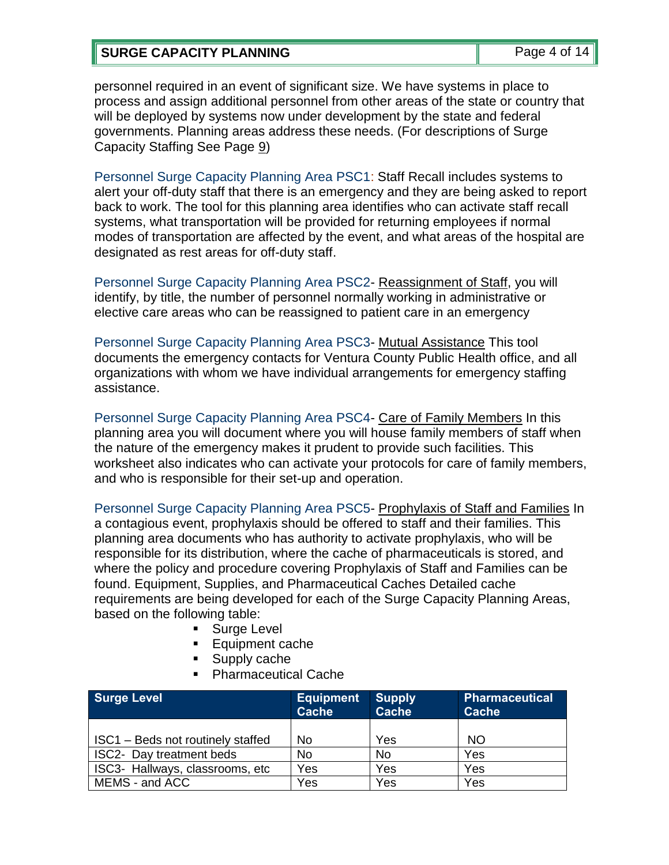## **SURGE CAPACITY PLANNING** Page 4 of 14

personnel required in an event of significant size. We have systems in place to process and assign additional personnel from other areas of the state or country that will be deployed by systems now under development by the state and federal governments. Planning areas address these needs. (For descriptions of Surge Capacity Staffing See Page 9)

Personnel Surge Capacity Planning Area PSC1: Staff Recall includes systems to alert your off-duty staff that there is an emergency and they are being asked to report back to work. The tool for this planning area identifies who can activate staff recall systems, what transportation will be provided for returning employees if normal modes of transportation are affected by the event, and what areas of the hospital are designated as rest areas for off-duty staff.

Personnel Surge Capacity Planning Area PSC2- Reassignment of Staff, you will identify, by title, the number of personnel normally working in administrative or elective care areas who can be reassigned to patient care in an emergency

Personnel Surge Capacity Planning Area PSC3- Mutual Assistance This tool documents the emergency contacts for Ventura County Public Health office, and all organizations with whom we have individual arrangements for emergency staffing assistance.

Personnel Surge Capacity Planning Area PSC4- Care of Family Members In this planning area you will document where you will house family members of staff when the nature of the emergency makes it prudent to provide such facilities. This worksheet also indicates who can activate your protocols for care of family members, and who is responsible for their set-up and operation.

Personnel Surge Capacity Planning Area PSC5- Prophylaxis of Staff and Families In a contagious event, prophylaxis should be offered to staff and their families. This planning area documents who has authority to activate prophylaxis, who will be responsible for its distribution, where the cache of pharmaceuticals is stored, and where the policy and procedure covering Prophylaxis of Staff and Families can be found. Equipment, Supplies, and Pharmaceutical Caches Detailed cache requirements are being developed for each of the Surge Capacity Planning Areas, based on the following table:

- Surge Level
- **Equipment cache**
- Supply cache
- Pharmaceutical Cache

| <b>Surge Level</b>                | <b>Equipment</b><br><b>Cache</b> | <b>Supply</b><br><b>Cache</b> | <b>Pharmaceutical</b><br><b>Cache</b> |
|-----------------------------------|----------------------------------|-------------------------------|---------------------------------------|
| ISC1 – Beds not routinely staffed | No                               | Yes                           | <b>NO</b>                             |
| ISC2- Day treatment beds          | <b>No</b>                        | No                            | Yes                                   |
| ISC3- Hallways, classrooms, etc   | Yes                              | Yes                           | Yes                                   |
| MEMS - and ACC                    | Yes                              | Yes                           | Yes                                   |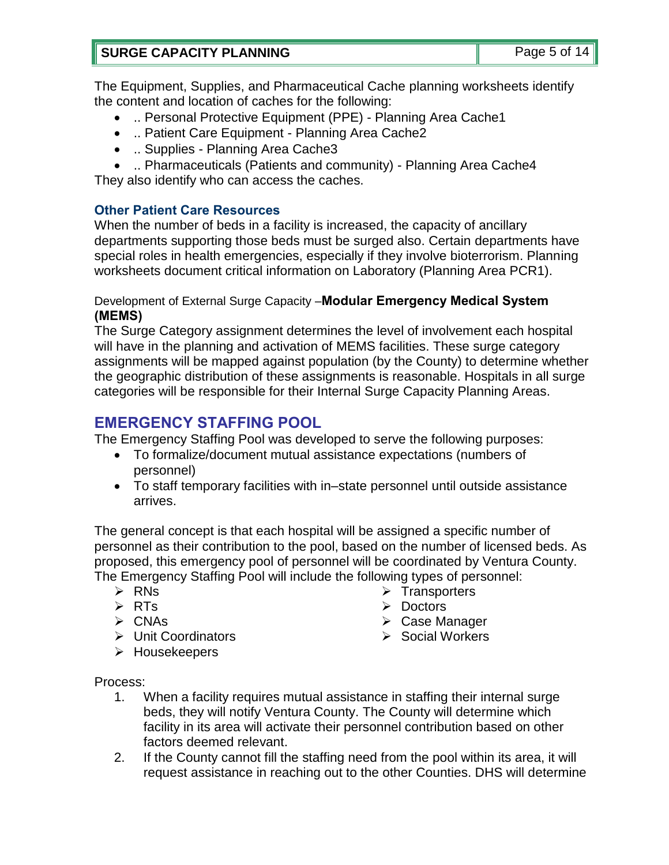The Equipment, Supplies, and Pharmaceutical Cache planning worksheets identify the content and location of caches for the following:

- .. Personal Protective Equipment (PPE) Planning Area Cache1
- .. Patient Care Equipment Planning Area Cache2
- .. Supplies Planning Area Cache3
- .. Pharmaceuticals (Patients and community) Planning Area Cache4 They also identify who can access the caches.

## **Other Patient Care Resources**

When the number of beds in a facility is increased, the capacity of ancillary departments supporting those beds must be surged also. Certain departments have special roles in health emergencies, especially if they involve bioterrorism. Planning worksheets document critical information on Laboratory (Planning Area PCR1).

## Development of External Surge Capacity –**Modular Emergency Medical System (MEMS)**

The Surge Category assignment determines the level of involvement each hospital will have in the planning and activation of MEMS facilities. These surge category assignments will be mapped against population (by the County) to determine whether the geographic distribution of these assignments is reasonable. Hospitals in all surge categories will be responsible for their Internal Surge Capacity Planning Areas.

## **EMERGENCY STAFFING POOL**

The Emergency Staffing Pool was developed to serve the following purposes:

- To formalize/document mutual assistance expectations (numbers of personnel)
- To staff temporary facilities with in–state personnel until outside assistance arrives.

The general concept is that each hospital will be assigned a specific number of personnel as their contribution to the pool, based on the number of licensed beds. As proposed, this emergency pool of personnel will be coordinated by Ventura County. The Emergency Staffing Pool will include the following types of personnel:

- $\triangleright$  RNs
- $\triangleright$  RTs
- $\triangleright$  CNAs
- **► Unit Coordinators**
- 
- $\triangleright$  Transporters  $\triangleright$  Doctors
- Case Manager
- $\triangleright$  Social Workers

> Housekeepers

Process:

- 1. When a facility requires mutual assistance in staffing their internal surge beds, they will notify Ventura County. The County will determine which facility in its area will activate their personnel contribution based on other factors deemed relevant.
- 2. If the County cannot fill the staffing need from the pool within its area, it will request assistance in reaching out to the other Counties. DHS will determine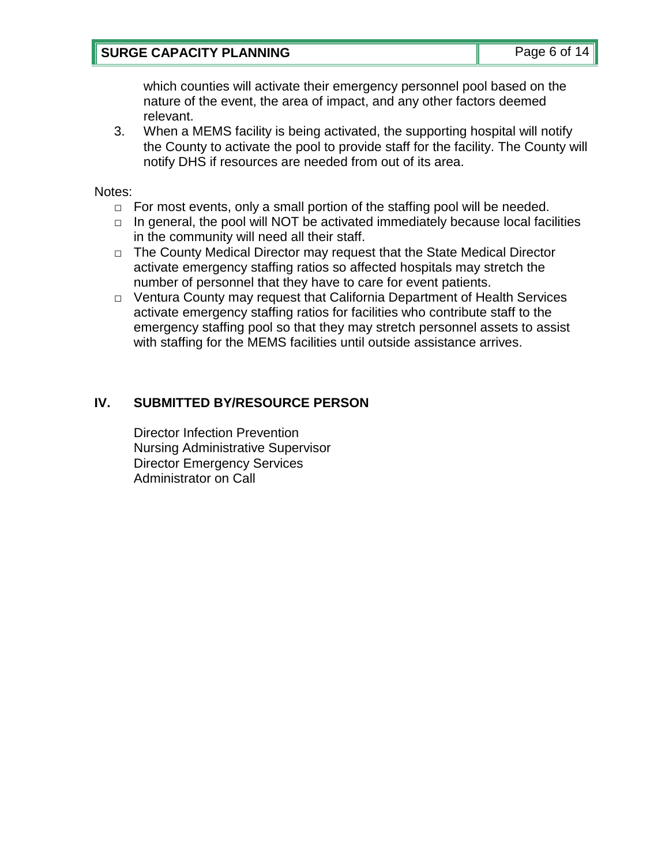## **SURGE CAPACITY PLANNING** Page 6 of 14

which counties will activate their emergency personnel pool based on the nature of the event, the area of impact, and any other factors deemed relevant.

3. When a MEMS facility is being activated, the supporting hospital will notify the County to activate the pool to provide staff for the facility. The County will notify DHS if resources are needed from out of its area.

Notes:

- $\Box$  For most events, only a small portion of the staffing pool will be needed.
- □ In general, the pool will NOT be activated immediately because local facilities in the community will need all their staff.
- □ The County Medical Director may request that the State Medical Director activate emergency staffing ratios so affected hospitals may stretch the number of personnel that they have to care for event patients.
- □ Ventura County may request that California Department of Health Services activate emergency staffing ratios for facilities who contribute staff to the emergency staffing pool so that they may stretch personnel assets to assist with staffing for the MEMS facilities until outside assistance arrives.

## **IV. SUBMITTED BY/RESOURCE PERSON**

Director Infection Prevention Nursing Administrative Supervisor Director Emergency Services Administrator on Call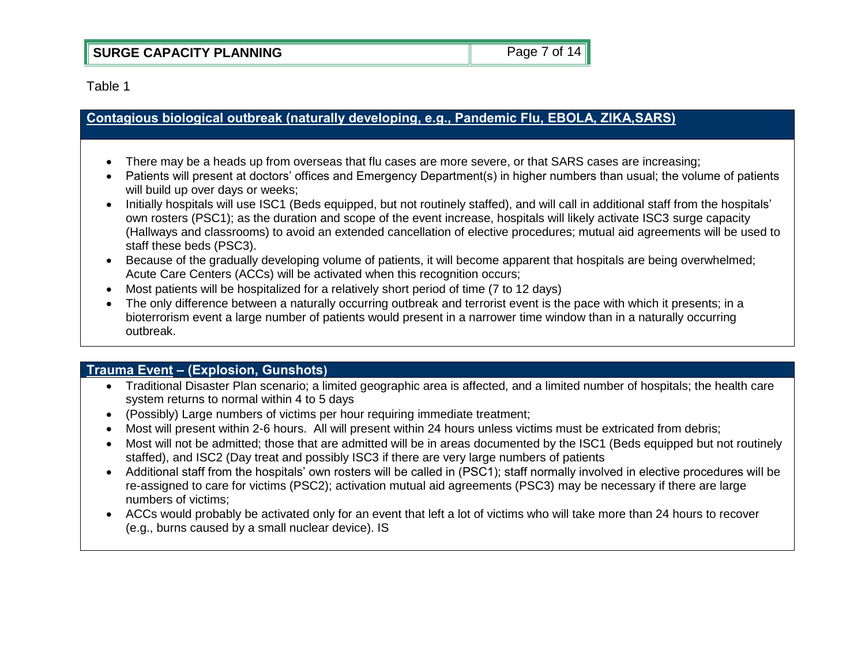Table 1

## **Contagious biological outbreak (naturally developing, e.g., Pandemic Flu, EBOLA, ZIKA,SARS)**

- There may be a heads up from overseas that flu cases are more severe, or that SARS cases are increasing;
- Patients will present at doctors' offices and Emergency Department(s) in higher numbers than usual; the volume of patients will build up over days or weeks;
- Initially hospitals will use ISC1 (Beds equipped, but not routinely staffed), and will call in additional staff from the hospitals' own rosters (PSC1); as the duration and scope of the event increase, hospitals will likely activate ISC3 surge capacity (Hallways and classrooms) to avoid an extended cancellation of elective procedures; mutual aid agreements will be used to staff these beds (PSC3).
- Because of the gradually developing volume of patients, it will become apparent that hospitals are being overwhelmed; Acute Care Centers (ACCs) will be activated when this recognition occurs;
- Most patients will be hospitalized for a relatively short period of time (7 to 12 days)
- The only difference between a naturally occurring outbreak and terrorist event is the pace with which it presents; in a bioterrorism event a large number of patients would present in a narrower time window than in a naturally occurring outbreak.

## **Trauma Event – (Explosion, Gunshots)**

- Traditional Disaster Plan scenario; a limited geographic area is affected, and a limited number of hospitals; the health care system returns to normal within 4 to 5 days
- (Possibly) Large numbers of victims per hour requiring immediate treatment;
- Most will present within 2-6 hours. All will present within 24 hours unless victims must be extricated from debris;
- Most will not be admitted; those that are admitted will be in areas documented by the ISC1 (Beds equipped but not routinely staffed), and ISC2 (Day treat and possibly ISC3 if there are very large numbers of patients
- Additional staff from the hospitals' own rosters will be called in (PSC1); staff normally involved in elective procedures will be re-assigned to care for victims (PSC2); activation mutual aid agreements (PSC3) may be necessary if there are large numbers of victims;
- ACCs would probably be activated only for an event that left a lot of victims who will take more than 24 hours to recover (e.g., burns caused by a small nuclear device). IS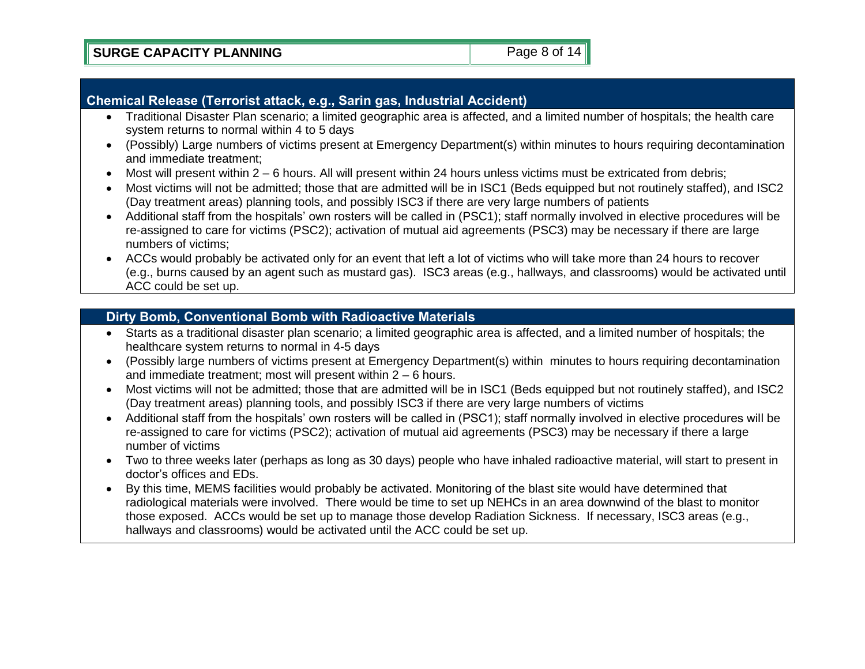## **Chemical Release (Terrorist attack, e.g., Sarin gas, Industrial Accident)**

- Traditional Disaster Plan scenario; a limited geographic area is affected, and a limited number of hospitals; the health care system returns to normal within 4 to 5 days
- (Possibly) Large numbers of victims present at Emergency Department(s) within minutes to hours requiring decontamination and immediate treatment;
- Most will present within 2 6 hours. All will present within 24 hours unless victims must be extricated from debris;
- Most victims will not be admitted; those that are admitted will be in ISC1 (Beds equipped but not routinely staffed), and ISC2 (Day treatment areas) planning tools, and possibly ISC3 if there are very large numbers of patients
- Additional staff from the hospitals' own rosters will be called in (PSC1); staff normally involved in elective procedures will be re-assigned to care for victims (PSC2); activation of mutual aid agreements (PSC3) may be necessary if there are large numbers of victims;
- ACCs would probably be activated only for an event that left a lot of victims who will take more than 24 hours to recover (e.g., burns caused by an agent such as mustard gas). ISC3 areas (e.g., hallways, and classrooms) would be activated until ACC could be set up.

## **Dirty Bomb, Conventional Bomb with Radioactive Materials**

- Starts as a traditional disaster plan scenario; a limited geographic area is affected, and a limited number of hospitals; the healthcare system returns to normal in 4-5 days
- (Possibly large numbers of victims present at Emergency Department(s) within minutes to hours requiring decontamination and immediate treatment; most will present within 2 – 6 hours.
- Most victims will not be admitted; those that are admitted will be in ISC1 (Beds equipped but not routinely staffed), and ISC2 (Day treatment areas) planning tools, and possibly ISC3 if there are very large numbers of victims
- Additional staff from the hospitals' own rosters will be called in (PSC1); staff normally involved in elective procedures will be re-assigned to care for victims (PSC2); activation of mutual aid agreements (PSC3) may be necessary if there a large number of victims
- Two to three weeks later (perhaps as long as 30 days) people who have inhaled radioactive material, will start to present in doctor's offices and EDs.
- By this time, MEMS facilities would probably be activated. Monitoring of the blast site would have determined that radiological materials were involved. There would be time to set up NEHCs in an area downwind of the blast to monitor those exposed. ACCs would be set up to manage those develop Radiation Sickness. If necessary, ISC3 areas (e.g., hallways and classrooms) would be activated until the ACC could be set up.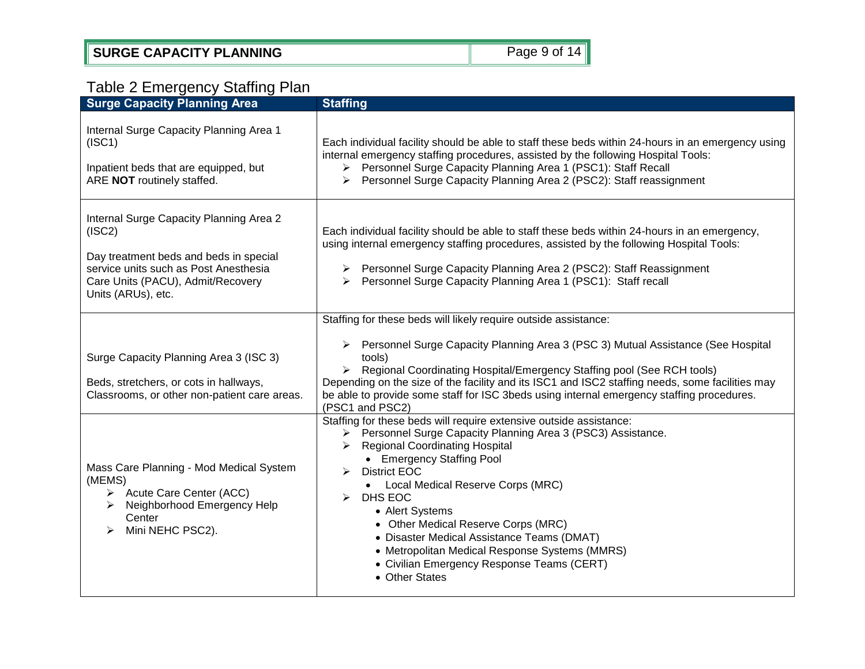## Table 2 Emergency Staffing Plan

| <b>Surge Capacity Planning Area</b>                                                                                                                                                             | <b>Staffing</b>                                                                                                                                                                                                                                                                                                                                                                                                                                                                                                                                           |
|-------------------------------------------------------------------------------------------------------------------------------------------------------------------------------------------------|-----------------------------------------------------------------------------------------------------------------------------------------------------------------------------------------------------------------------------------------------------------------------------------------------------------------------------------------------------------------------------------------------------------------------------------------------------------------------------------------------------------------------------------------------------------|
| Internal Surge Capacity Planning Area 1<br>(ISC1)<br>Inpatient beds that are equipped, but<br>ARE NOT routinely staffed.                                                                        | Each individual facility should be able to staff these beds within 24-hours in an emergency using<br>internal emergency staffing procedures, assisted by the following Hospital Tools:<br>> Personnel Surge Capacity Planning Area 1 (PSC1): Staff Recall<br>Personnel Surge Capacity Planning Area 2 (PSC2): Staff reassignment                                                                                                                                                                                                                          |
| Internal Surge Capacity Planning Area 2<br>(ISC2)<br>Day treatment beds and beds in special<br>service units such as Post Anesthesia<br>Care Units (PACU), Admit/Recovery<br>Units (ARUs), etc. | Each individual facility should be able to staff these beds within 24-hours in an emergency,<br>using internal emergency staffing procedures, assisted by the following Hospital Tools:<br>> Personnel Surge Capacity Planning Area 2 (PSC2): Staff Reassignment<br>> Personnel Surge Capacity Planning Area 1 (PSC1): Staff recall                                                                                                                                                                                                                       |
| Surge Capacity Planning Area 3 (ISC 3)<br>Beds, stretchers, or cots in hallways,<br>Classrooms, or other non-patient care areas.                                                                | Staffing for these beds will likely require outside assistance:<br>Personnel Surge Capacity Planning Area 3 (PSC 3) Mutual Assistance (See Hospital<br>➤<br>tools)<br>Regional Coordinating Hospital/Emergency Staffing pool (See RCH tools)<br>$\triangleright$<br>Depending on the size of the facility and its ISC1 and ISC2 staffing needs, some facilities may<br>be able to provide some staff for ISC 3beds using internal emergency staffing procedures.<br>(PSC1 and PSC2)<br>Staffing for these beds will require extensive outside assistance: |
| Mass Care Planning - Mod Medical System<br>(MEMS)<br>Acute Care Center (ACC)<br>➤<br>Neighborhood Emergency Help<br>➤<br>Center<br>Mini NEHC PSC2).<br>➤                                        | Personnel Surge Capacity Planning Area 3 (PSC3) Assistance.<br><b>Regional Coordinating Hospital</b><br>➤<br>• Emergency Staffing Pool<br><b>District EOC</b><br>≻<br>Local Medical Reserve Corps (MRC)<br>$\bullet$<br>DHS EOC<br>⋗<br>• Alert Systems<br>• Other Medical Reserve Corps (MRC)<br>• Disaster Medical Assistance Teams (DMAT)<br>• Metropolitan Medical Response Systems (MMRS)<br>• Civilian Emergency Response Teams (CERT)<br>• Other States                                                                                            |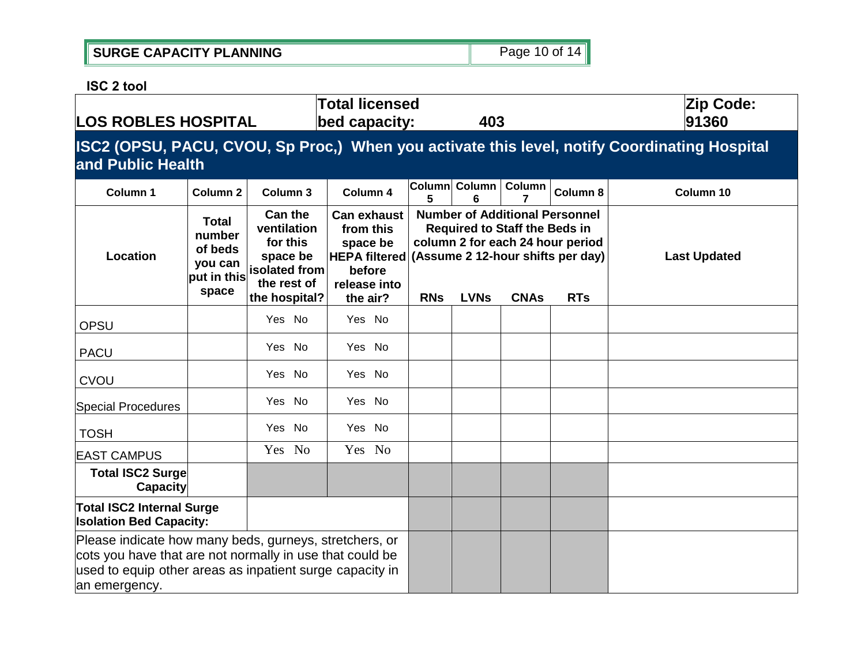| SURGE CAPACITY PLANNING | Page 10 of 14 |
|-------------------------|---------------|
|                         |               |

**ISC 2 tool**

| <b>LOS ROBLES HOSPITAL</b>                                                                                                                                                                      |                                                                                                                   |                                                                                            | <b>Total licensed</b><br>bed capacity:                                                                    |                                                                                                                                                                                                                  | 403                |        |          | Zip Code:<br>91360  |  |  |  |  |  |
|-------------------------------------------------------------------------------------------------------------------------------------------------------------------------------------------------|-------------------------------------------------------------------------------------------------------------------|--------------------------------------------------------------------------------------------|-----------------------------------------------------------------------------------------------------------|------------------------------------------------------------------------------------------------------------------------------------------------------------------------------------------------------------------|--------------------|--------|----------|---------------------|--|--|--|--|--|
|                                                                                                                                                                                                 | ISC2 (OPSU, PACU, CVOU, Sp Proc,) When you activate this level, notify Coordinating Hospital<br>and Public Health |                                                                                            |                                                                                                           |                                                                                                                                                                                                                  |                    |        |          |                     |  |  |  |  |  |
| Column 1                                                                                                                                                                                        | Column <sub>2</sub>                                                                                               | Column 3                                                                                   | Column 4                                                                                                  | 5                                                                                                                                                                                                                | Column Column<br>6 | Column | Column 8 | Column 10           |  |  |  |  |  |
| Total<br>number<br>for this<br>of beds<br>Location<br>you can<br>put in this<br>space                                                                                                           |                                                                                                                   | <b>Can the</b><br>ventilation<br>space be<br>isolated from<br>the rest of<br>the hospital? | <b>Can exhaust</b><br>from this<br>space be<br><b>HEPA filtered</b><br>before<br>release into<br>the air? | <b>Number of Additional Personnel</b><br><b>Required to Staff the Beds in</b><br>column 2 for each 24 hour period<br>(Assume 2 12-hour shifts per day)<br><b>RNs</b><br><b>LVNs</b><br><b>CNAs</b><br><b>RTs</b> |                    |        |          | <b>Last Updated</b> |  |  |  |  |  |
| <b>OPSU</b>                                                                                                                                                                                     |                                                                                                                   | Yes No                                                                                     | Yes No                                                                                                    |                                                                                                                                                                                                                  |                    |        |          |                     |  |  |  |  |  |
| <b>PACU</b>                                                                                                                                                                                     |                                                                                                                   | Yes No                                                                                     | Yes No                                                                                                    |                                                                                                                                                                                                                  |                    |        |          |                     |  |  |  |  |  |
| <b>CVOU</b>                                                                                                                                                                                     |                                                                                                                   | Yes No                                                                                     | Yes No                                                                                                    |                                                                                                                                                                                                                  |                    |        |          |                     |  |  |  |  |  |
| Special Procedures                                                                                                                                                                              |                                                                                                                   | Yes No                                                                                     | Yes No                                                                                                    |                                                                                                                                                                                                                  |                    |        |          |                     |  |  |  |  |  |
| <b>TOSH</b>                                                                                                                                                                                     |                                                                                                                   | Yes No                                                                                     | Yes No                                                                                                    |                                                                                                                                                                                                                  |                    |        |          |                     |  |  |  |  |  |
| <b>EAST CAMPUS</b>                                                                                                                                                                              |                                                                                                                   | Yes No                                                                                     | Yes No                                                                                                    |                                                                                                                                                                                                                  |                    |        |          |                     |  |  |  |  |  |
| <b>Total ISC2 Surge</b><br><b>Capacity</b>                                                                                                                                                      |                                                                                                                   |                                                                                            |                                                                                                           |                                                                                                                                                                                                                  |                    |        |          |                     |  |  |  |  |  |
| <b>Total ISC2 Internal Surge</b><br><b>Isolation Bed Capacity:</b>                                                                                                                              |                                                                                                                   |                                                                                            |                                                                                                           |                                                                                                                                                                                                                  |                    |        |          |                     |  |  |  |  |  |
| Please indicate how many beds, gurneys, stretchers, or<br>cots you have that are not normally in use that could be<br>used to equip other areas as inpatient surge capacity in<br>an emergency. |                                                                                                                   |                                                                                            |                                                                                                           |                                                                                                                                                                                                                  |                    |        |          |                     |  |  |  |  |  |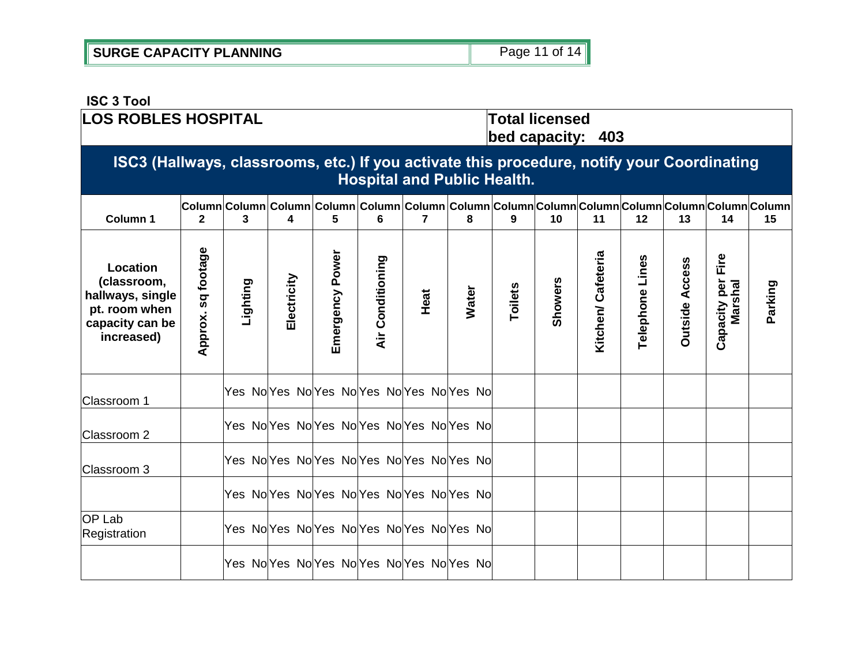| <b>SURGE CAPACITY PLANNING</b> | Page 11 of 14 |
|--------------------------------|---------------|
|--------------------------------|---------------|

#### **ISC 3 Tool LOS ROBLES HOSPITAL Total licensed bed capacity: 403 ISC3 (Hallways, classrooms, etc.) If you activate this procedure, notify your Coordinating Hospital and Public Health. Column Column Column Column Column Column Column Column Column Column Column Column Column Column Column 1 2 3 8 9 10 11 12 14 15 4 5 6 7 13** Approx. sq footage **Approx. sq footage** Emergency Power **Emergency Power Kitchen/ Cafeteria Capacity per Fire Kitchen/ Cafeteria Air Conditioning** Capacity per Fire<br>Marshal Telephone Lines **Air Conditioning Telephone Lines Dutside Access Outside Access Location Electricity (classroom, Lighting Showers Parking Toilets Water Heat hallways, single pt. room when capacity can be increased)** Yes NoYes NoYes No Yes NoYes NoYes No Classroom 1 Yes NoYes NoYes NoYes NoYes NoYes No Classroom 2 Yes NolYes NolYes NolYes NolYes No Classroom 3 Yes No Yes No Yes No Yes No Yes No OP Lab Registration | Yes No<sup>Yes</sup> No<sup>Yes</sup> No<sup>Yes</sup> No<sup>Yes</sup> No<sup>Yes</sup> No<sup>Yes</sup> No Yes NoYes NoYes NoYes NoYes NoYes No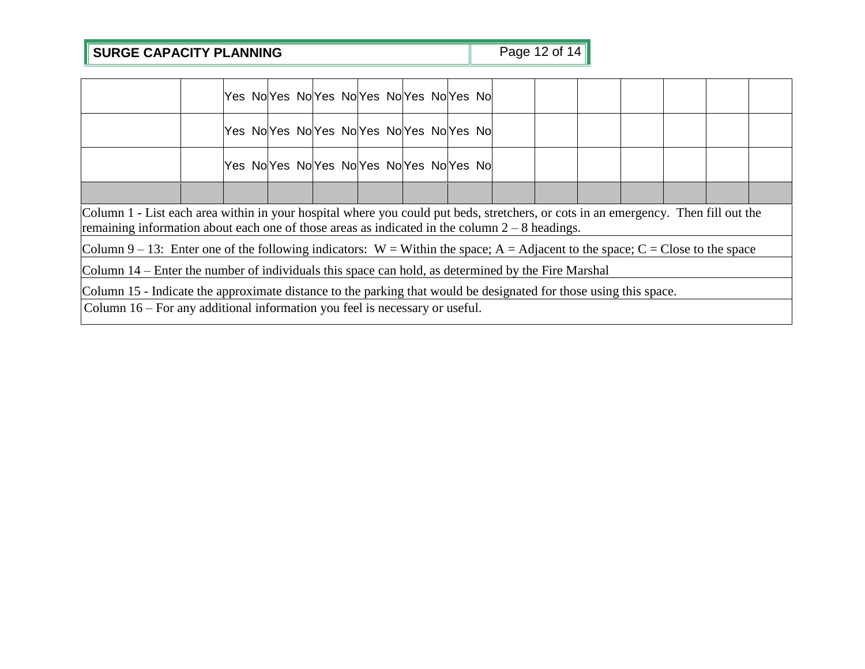# **SURGE CAPACITY PLANNING** Page 12 of 14

|                                                                                                                                                                                                                                        |                                                                                                                   |  |  |  |  |  |  |  | Yes NolYes NolYes NolYes NolYes NolYes Nol |  |  |  |  |
|----------------------------------------------------------------------------------------------------------------------------------------------------------------------------------------------------------------------------------------|-------------------------------------------------------------------------------------------------------------------|--|--|--|--|--|--|--|--------------------------------------------|--|--|--|--|
|                                                                                                                                                                                                                                        |                                                                                                                   |  |  |  |  |  |  |  | Yes NoYes NoYes NoYes NoYes NoYes NoYes No |  |  |  |  |
|                                                                                                                                                                                                                                        |                                                                                                                   |  |  |  |  |  |  |  | Yes NolYes NolYes NolYes NolYes NolYes Nol |  |  |  |  |
|                                                                                                                                                                                                                                        |                                                                                                                   |  |  |  |  |  |  |  |                                            |  |  |  |  |
| Column 1 - List each area within in your hospital where you could put beds, stretchers, or cots in an emergency. Then fill out the<br>remaining information about each one of those areas as indicated in the column $2 - 8$ headings. |                                                                                                                   |  |  |  |  |  |  |  |                                            |  |  |  |  |
| Column 9 – 13: Enter one of the following indicators: $W =$ Within the space; A = Adjacent to the space; C = Close to the space                                                                                                        |                                                                                                                   |  |  |  |  |  |  |  |                                            |  |  |  |  |
| Column 14 – Enter the number of individuals this space can hold, as determined by the Fire Marshal                                                                                                                                     |                                                                                                                   |  |  |  |  |  |  |  |                                            |  |  |  |  |
|                                                                                                                                                                                                                                        | Column 15 - Indicate the approximate distance to the parking that would be designated for those using this space. |  |  |  |  |  |  |  |                                            |  |  |  |  |
| Column 16 – For any additional information you feel is necessary or useful.                                                                                                                                                            |                                                                                                                   |  |  |  |  |  |  |  |                                            |  |  |  |  |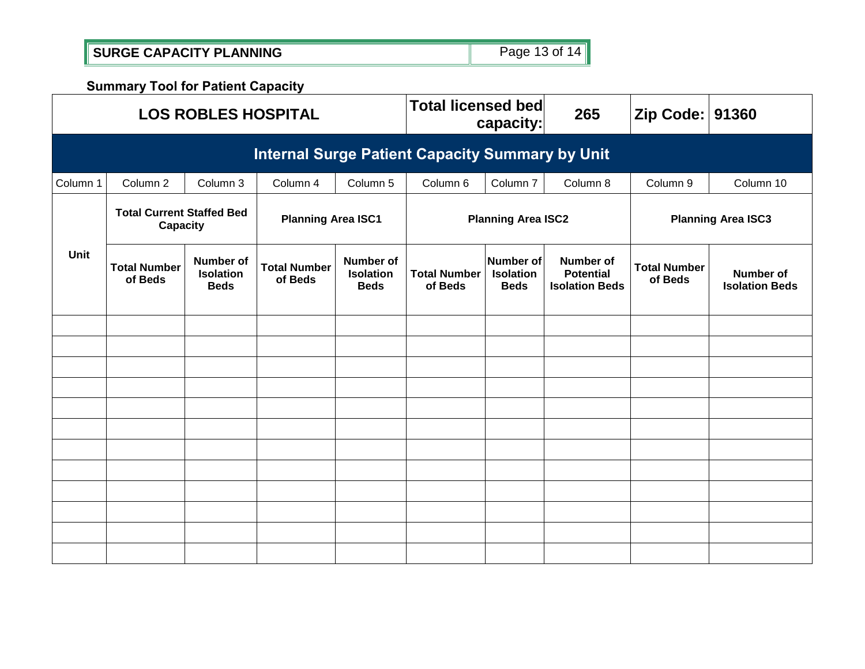|  | SURGE CAPACITY PLANNING | Page 13 of 14 |
|--|-------------------------|---------------|
|--|-------------------------|---------------|

**Summary Tool for Patient Capacity**

|             |                                                                           | <b>LOS ROBLES HOSPITAL</b>                   |                                |                                                     | <b>Total licensed bed</b>      | capacity:                                    | 265                                                    | Zip Code:   91360              |                                    |  |  |  |  |
|-------------|---------------------------------------------------------------------------|----------------------------------------------|--------------------------------|-----------------------------------------------------|--------------------------------|----------------------------------------------|--------------------------------------------------------|--------------------------------|------------------------------------|--|--|--|--|
|             | <b>Internal Surge Patient Capacity Summary by Unit</b>                    |                                              |                                |                                                     |                                |                                              |                                                        |                                |                                    |  |  |  |  |
| Column 1    | Column 2                                                                  | Column 3                                     | Column 4                       | Column 5                                            | Column 6                       | Column 7                                     | Column 8                                               | Column 9                       | Column 10                          |  |  |  |  |
|             | <b>Total Current Staffed Bed</b><br><b>Planning Area ISC1</b><br>Capacity |                                              |                                |                                                     | <b>Planning Area ISC2</b>      |                                              |                                                        |                                | <b>Planning Area ISC3</b>          |  |  |  |  |
| <b>Unit</b> | <b>Total Number</b><br>of Beds                                            | Number of<br><b>Isolation</b><br><b>Beds</b> | <b>Total Number</b><br>of Beds | <b>Number of</b><br><b>Isolation</b><br><b>Beds</b> | <b>Total Number</b><br>of Beds | Number of<br><b>Isolation</b><br><b>Beds</b> | Number of<br><b>Potential</b><br><b>Isolation Beds</b> | <b>Total Number</b><br>of Beds | Number of<br><b>Isolation Beds</b> |  |  |  |  |
|             |                                                                           |                                              |                                |                                                     |                                |                                              |                                                        |                                |                                    |  |  |  |  |
|             |                                                                           |                                              |                                |                                                     |                                |                                              |                                                        |                                |                                    |  |  |  |  |
|             |                                                                           |                                              |                                |                                                     |                                |                                              |                                                        |                                |                                    |  |  |  |  |
|             |                                                                           |                                              |                                |                                                     |                                |                                              |                                                        |                                |                                    |  |  |  |  |
|             |                                                                           |                                              |                                |                                                     |                                |                                              |                                                        |                                |                                    |  |  |  |  |
|             |                                                                           |                                              |                                |                                                     |                                |                                              |                                                        |                                |                                    |  |  |  |  |
|             |                                                                           |                                              |                                |                                                     |                                |                                              |                                                        |                                |                                    |  |  |  |  |
|             |                                                                           |                                              |                                |                                                     |                                |                                              |                                                        |                                |                                    |  |  |  |  |
|             |                                                                           |                                              |                                |                                                     |                                |                                              |                                                        |                                |                                    |  |  |  |  |
|             |                                                                           |                                              |                                |                                                     |                                |                                              |                                                        |                                |                                    |  |  |  |  |
|             |                                                                           |                                              |                                |                                                     |                                |                                              |                                                        |                                |                                    |  |  |  |  |